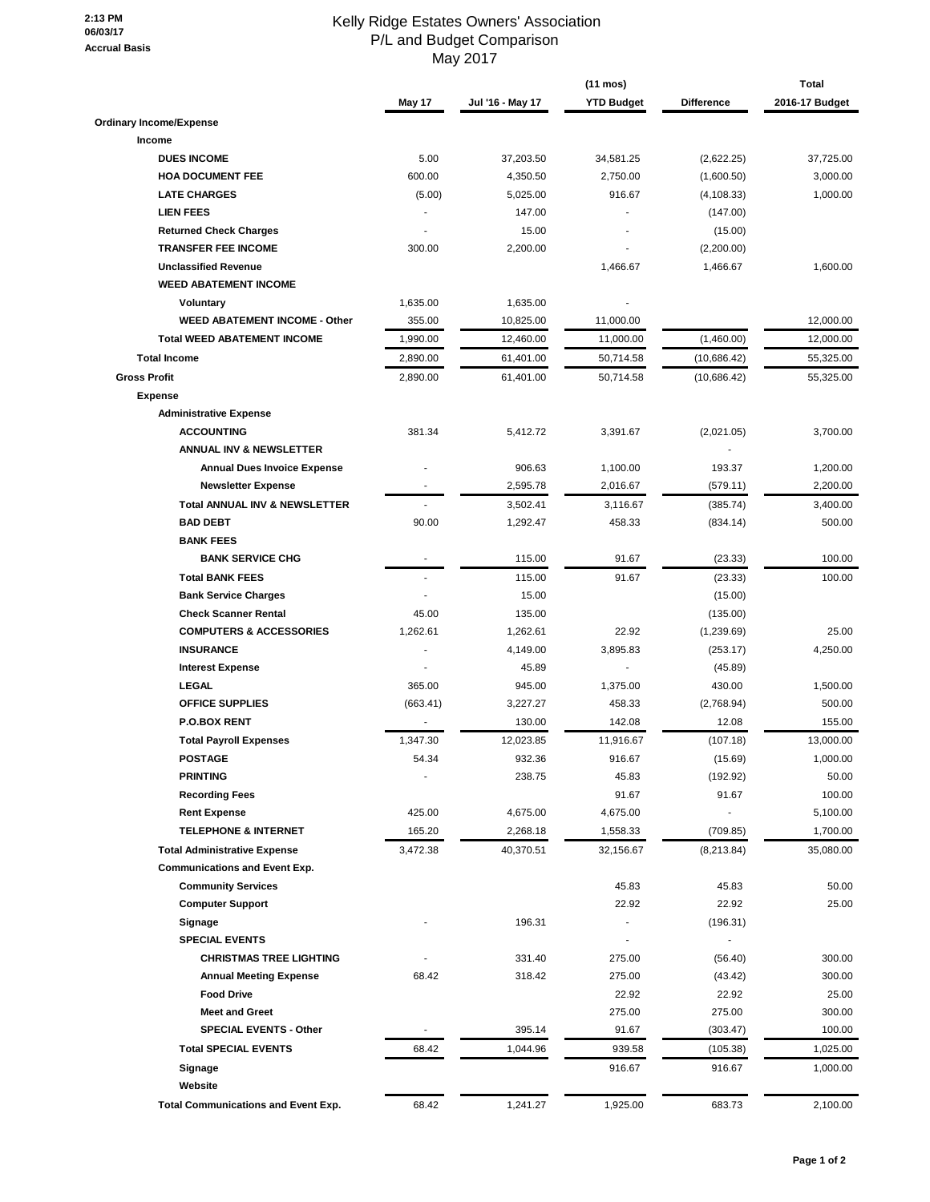**2:13 PM 06/03/17 Accrual Basis**

#### Kelly Ridge Estates Owners' Association P/L and Budget Comparison May 2017

|                                            |          |                  | $(11 \text{ mos})$ |                   | <b>Total</b>   |
|--------------------------------------------|----------|------------------|--------------------|-------------------|----------------|
|                                            | May 17   | Jul '16 - May 17 | <b>YTD Budget</b>  | <b>Difference</b> | 2016-17 Budget |
| <b>Ordinary Income/Expense</b>             |          |                  |                    |                   |                |
| Income                                     |          |                  |                    |                   |                |
| <b>DUES INCOME</b>                         | 5.00     | 37,203.50        | 34,581.25          | (2,622.25)        | 37,725.00      |
| <b>HOA DOCUMENT FEE</b>                    | 600.00   | 4,350.50         | 2,750.00           | (1,600.50)        | 3,000.00       |
| <b>LATE CHARGES</b>                        | (5.00)   | 5,025.00         | 916.67             | (4, 108.33)       | 1,000.00       |
| <b>LIEN FEES</b>                           |          | 147.00           |                    | (147.00)          |                |
| <b>Returned Check Charges</b>              |          | 15.00            |                    | (15.00)           |                |
| <b>TRANSFER FEE INCOME</b>                 | 300.00   | 2,200.00         |                    | (2,200.00)        |                |
| <b>Unclassified Revenue</b>                |          |                  | 1,466.67           | 1,466.67          | 1,600.00       |
| <b>WEED ABATEMENT INCOME</b>               |          |                  |                    |                   |                |
| Voluntary                                  | 1,635.00 | 1,635.00         |                    |                   |                |
| <b>WEED ABATEMENT INCOME - Other</b>       | 355.00   | 10,825.00        | 11,000.00          |                   | 12,000.00      |
| <b>Total WEED ABATEMENT INCOME</b>         | 1,990.00 | 12,460.00        | 11,000.00          | (1,460.00)        | 12,000.00      |
|                                            |          |                  |                    |                   |                |
| <b>Total Income</b>                        | 2,890.00 | 61,401.00        | 50,714.58          | (10,686.42)       | 55,325.00      |
| <b>Gross Profit</b>                        | 2,890.00 | 61,401.00        | 50,714.58          | (10,686.42)       | 55,325.00      |
| <b>Expense</b>                             |          |                  |                    |                   |                |
| <b>Administrative Expense</b>              |          |                  |                    |                   |                |
| <b>ACCOUNTING</b>                          | 381.34   | 5,412.72         | 3,391.67           | (2,021.05)        | 3,700.00       |
| <b>ANNUAL INV &amp; NEWSLETTER</b>         |          |                  |                    |                   |                |
| <b>Annual Dues Invoice Expense</b>         |          | 906.63           | 1,100.00           | 193.37            | 1,200.00       |
| <b>Newsletter Expense</b>                  |          | 2,595.78         | 2,016.67           | (579.11)          | 2,200.00       |
| <b>Total ANNUAL INV &amp; NEWSLETTER</b>   |          | 3,502.41         | 3,116.67           | (385.74)          | 3,400.00       |
| <b>BAD DEBT</b>                            | 90.00    | 1,292.47         | 458.33             | (834.14)          | 500.00         |
| <b>BANK FEES</b>                           |          |                  |                    |                   |                |
| <b>BANK SERVICE CHG</b>                    |          | 115.00           | 91.67              | (23.33)           | 100.00         |
| <b>Total BANK FEES</b>                     |          | 115.00           | 91.67              | (23.33)           | 100.00         |
| <b>Bank Service Charges</b>                |          | 15.00            |                    | (15.00)           |                |
| <b>Check Scanner Rental</b>                | 45.00    | 135.00           |                    | (135.00)          |                |
| <b>COMPUTERS &amp; ACCESSORIES</b>         | 1,262.61 | 1,262.61         | 22.92              | (1,239.69)        | 25.00          |
| <b>INSURANCE</b>                           |          | 4,149.00         | 3,895.83           | (253.17)          | 4,250.00       |
| <b>Interest Expense</b>                    |          | 45.89            |                    | (45.89)           |                |
| <b>LEGAL</b>                               | 365.00   | 945.00           | 1,375.00           | 430.00            | 1,500.00       |
| <b>OFFICE SUPPLIES</b>                     | (663.41) | 3,227.27         | 458.33             | (2,768.94)        | 500.00         |
| <b>P.O.BOX RENT</b>                        |          | 130.00           | 142.08             | 12.08             | 155.00         |
|                                            | 1,347.30 | 12,023.85        | 11,916.67          |                   | 13,000.00      |
| <b>Total Payroll Expenses</b>              |          |                  |                    | (107.18)          |                |
| <b>POSTAGE</b>                             | 54.34    | 932.36           | 916.67             | (15.69)           | 1,000.00       |
| <b>PRINTING</b>                            |          | 238.75           | 45.83              | (192.92)          | 50.00          |
| <b>Recording Fees</b>                      |          |                  | 91.67              | 91.67             | 100.00         |
| <b>Rent Expense</b>                        | 425.00   | 4,675.00         | 4,675.00           |                   | 5,100.00       |
| <b>TELEPHONE &amp; INTERNET</b>            | 165.20   | 2,268.18         | 1,558.33           | (709.85)          | 1,700.00       |
| <b>Total Administrative Expense</b>        | 3,472.38 | 40,370.51        | 32,156.67          | (8,213.84)        | 35,080.00      |
| <b>Communications and Event Exp.</b>       |          |                  |                    |                   |                |
| <b>Community Services</b>                  |          |                  | 45.83              | 45.83             | 50.00          |
| <b>Computer Support</b>                    |          |                  | 22.92              | 22.92             | 25.00          |
| Signage                                    |          | 196.31           |                    | (196.31)          |                |
| <b>SPECIAL EVENTS</b>                      |          |                  |                    |                   |                |
| <b>CHRISTMAS TREE LIGHTING</b>             |          | 331.40           | 275.00             | (56.40)           | 300.00         |
| <b>Annual Meeting Expense</b>              | 68.42    | 318.42           | 275.00             | (43.42)           | 300.00         |
| <b>Food Drive</b>                          |          |                  | 22.92              | 22.92             | 25.00          |
| <b>Meet and Greet</b>                      |          |                  | 275.00             | 275.00            | 300.00         |
| <b>SPECIAL EVENTS - Other</b>              |          | 395.14           | 91.67              | (303.47)          | 100.00         |
| <b>Total SPECIAL EVENTS</b>                | 68.42    | 1,044.96         | 939.58             | (105.38)          | 1,025.00       |
| Signage                                    |          |                  | 916.67             | 916.67            | 1,000.00       |
| Website                                    |          |                  |                    |                   |                |
|                                            |          |                  |                    |                   |                |
| <b>Total Communications and Event Exp.</b> | 68.42    | 1,241.27         | 1,925.00           | 683.73            | 2,100.00       |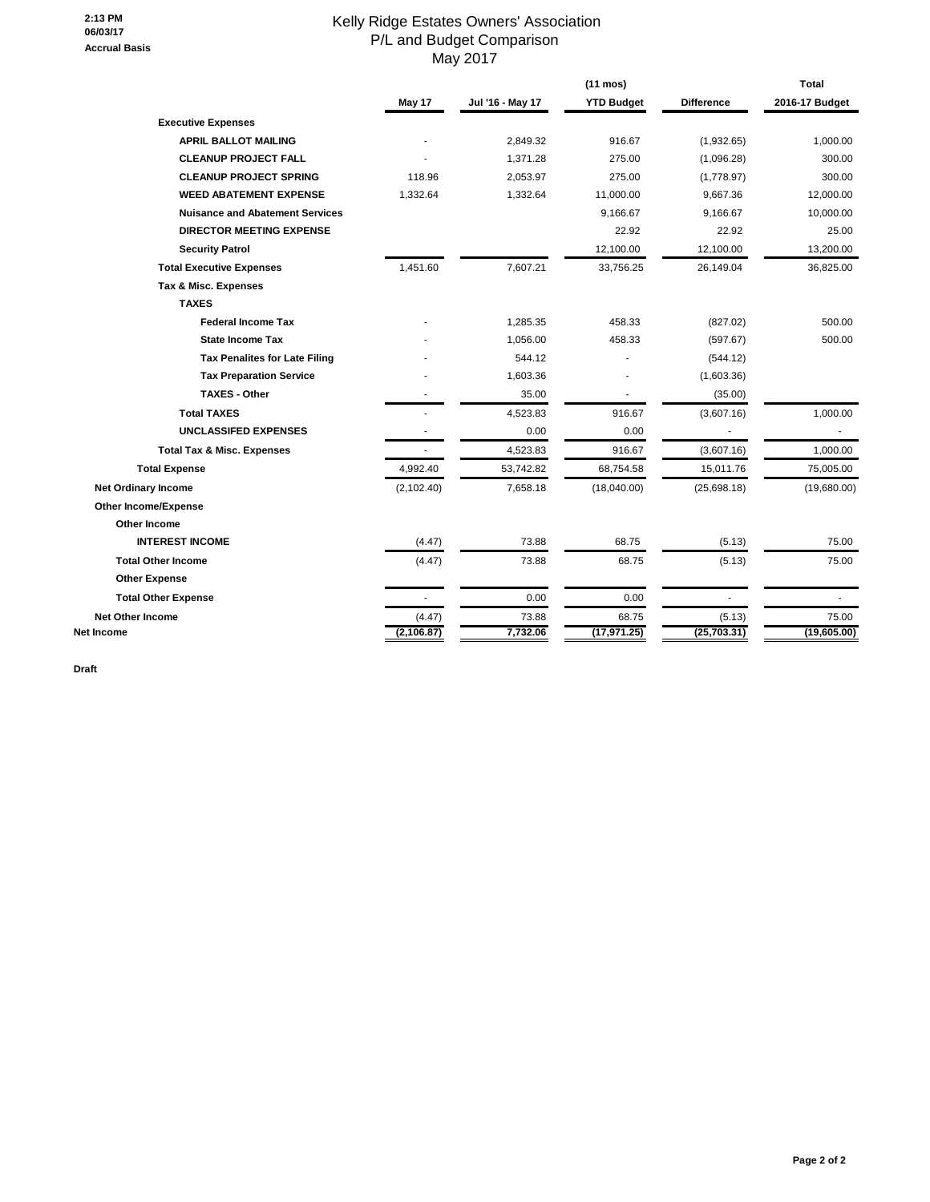#### Kelly Ridge Estates Owners' Association P/L and Budget Comparison May 2017

|                                        | $(11 \text{ mos})$ |                  |                   |                   | <b>Total</b>   |
|----------------------------------------|--------------------|------------------|-------------------|-------------------|----------------|
|                                        | May 17             | Jul '16 - May 17 | <b>YTD Budget</b> | <b>Difference</b> | 2016-17 Budget |
| <b>Executive Expenses</b>              |                    |                  |                   |                   |                |
| <b>APRIL BALLOT MAILING</b>            |                    | 2,849.32         | 916.67            | (1,932.65)        | 1,000.00       |
| <b>CLEANUP PROJECT FALL</b>            |                    | 1,371.28         | 275.00            | (1,096.28)        | 300.00         |
| <b>CLEANUP PROJECT SPRING</b>          | 118.96             | 2,053.97         | 275.00            | (1,778.97)        | 300.00         |
| <b>WEED ABATEMENT EXPENSE</b>          | 1,332.64           | 1,332.64         | 11,000.00         | 9,667.36          | 12,000.00      |
| <b>Nuisance and Abatement Services</b> |                    |                  | 9,166.67          | 9,166.67          | 10,000.00      |
| <b>DIRECTOR MEETING EXPENSE</b>        |                    |                  | 22.92             | 22.92             | 25.00          |
| <b>Security Patrol</b>                 |                    |                  | 12,100.00         | 12,100.00         | 13,200.00      |
| <b>Total Executive Expenses</b>        | 1,451.60           | 7,607.21         | 33,756.25         | 26,149.04         | 36,825.00      |
| Tax & Misc. Expenses                   |                    |                  |                   |                   |                |
| <b>TAXES</b>                           |                    |                  |                   |                   |                |
| <b>Federal Income Tax</b>              |                    | 1,285.35         | 458.33            | (827.02)          | 500.00         |
| <b>State Income Tax</b>                |                    | 1,056.00         | 458.33            | (597.67)          | 500.00         |
| <b>Tax Penalites for Late Filing</b>   |                    | 544.12           |                   | (544.12)          |                |
| <b>Tax Preparation Service</b>         |                    | 1,603.36         |                   | (1,603.36)        |                |
| <b>TAXES - Other</b>                   |                    | 35.00            |                   | (35.00)           |                |
| <b>Total TAXES</b>                     |                    | 4,523.83         | 916.67            | (3,607.16)        | 1,000.00       |
| <b>UNCLASSIFED EXPENSES</b>            |                    | 0.00             | 0.00              |                   |                |
| <b>Total Tax &amp; Misc. Expenses</b>  |                    | 4,523.83         | 916.67            | (3,607.16)        | 1,000.00       |
| <b>Total Expense</b>                   | 4,992.40           | 53,742.82        | 68,754.58         | 15,011.76         | 75,005.00      |
| <b>Net Ordinary Income</b>             | (2, 102.40)        | 7,658.18         | (18,040.00)       | (25,698.18)       | (19,680.00)    |
| <b>Other Income/Expense</b>            |                    |                  |                   |                   |                |
| <b>Other Income</b>                    |                    |                  |                   |                   |                |
| <b>INTEREST INCOME</b>                 | (4.47)             | 73.88            | 68.75             | (5.13)            | 75.00          |
| <b>Total Other Income</b>              | (4.47)             | 73.88            | 68.75             | (5.13)            | 75.00          |
| <b>Other Expense</b>                   |                    |                  |                   |                   |                |
| <b>Total Other Expense</b>             |                    | 0.00             | 0.00              |                   |                |
| <b>Net Other Income</b>                | (4.47)             | 73.88            | 68.75             | (5.13)            | 75.00          |
| Net Income                             | (2, 106.87)        | 7,732.06         | (17, 971.25)      | (25,703.31)       | (19,605.00)    |

**Draft**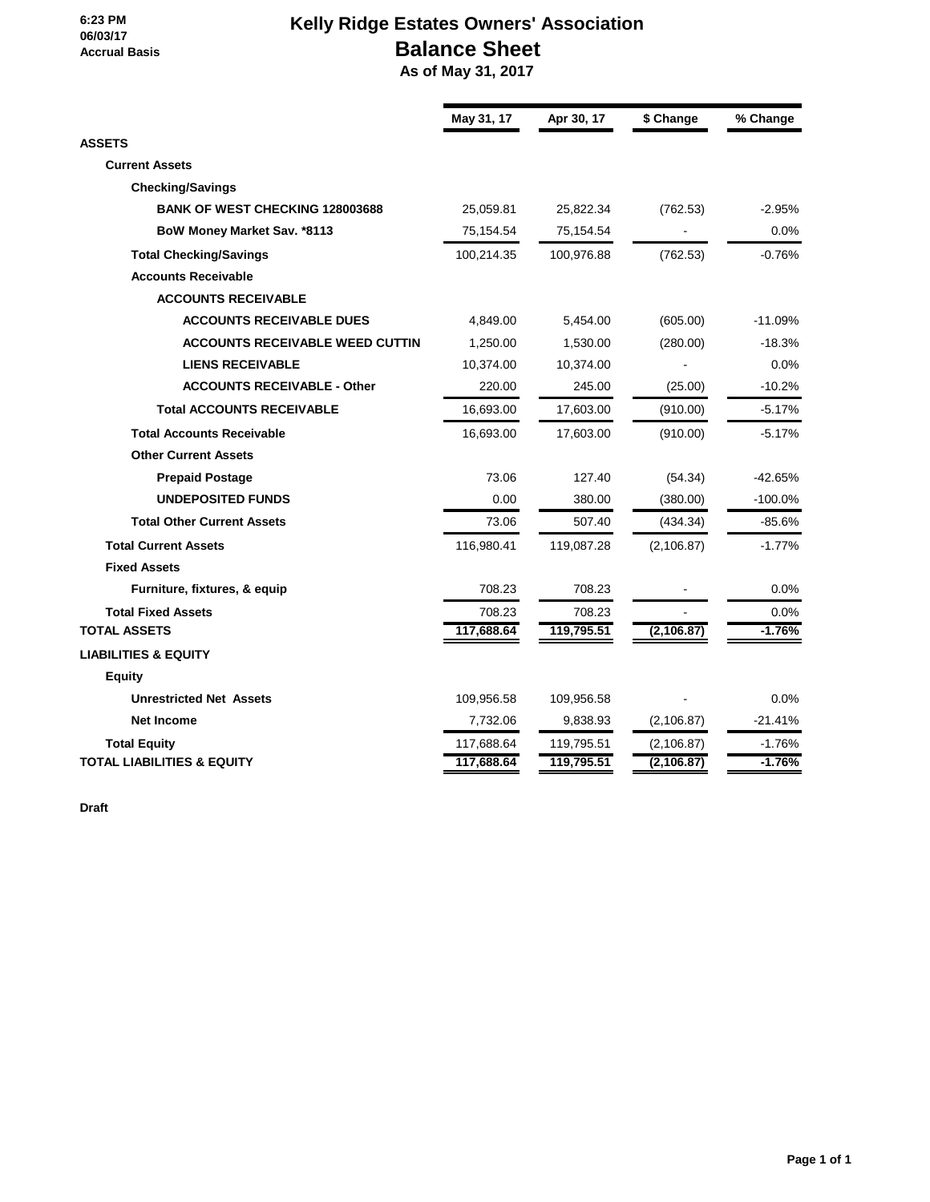#### **6:23 PM 06/03/17 Accrual Basis**

# **Kelly Ridge Estates Owners' Association Balance Sheet**

 **As of May 31, 2017**

|                                        | May 31, 17 | Apr 30, 17 | \$ Change   | % Change  |
|----------------------------------------|------------|------------|-------------|-----------|
| <b>ASSETS</b>                          |            |            |             |           |
| <b>Current Assets</b>                  |            |            |             |           |
| <b>Checking/Savings</b>                |            |            |             |           |
| <b>BANK OF WEST CHECKING 128003688</b> | 25,059.81  | 25,822.34  | (762.53)    | $-2.95%$  |
| BoW Money Market Sav. *8113            | 75,154.54  | 75,154.54  |             | 0.0%      |
| <b>Total Checking/Savings</b>          | 100,214.35 | 100,976.88 | (762.53)    | $-0.76%$  |
| <b>Accounts Receivable</b>             |            |            |             |           |
| <b>ACCOUNTS RECEIVABLE</b>             |            |            |             |           |
| <b>ACCOUNTS RECEIVABLE DUES</b>        | 4,849.00   | 5,454.00   | (605.00)    | $-11.09%$ |
| <b>ACCOUNTS RECEIVABLE WEED CUTTIN</b> | 1,250.00   | 1,530.00   | (280.00)    | $-18.3%$  |
| <b>LIENS RECEIVABLE</b>                | 10,374.00  | 10,374.00  |             | 0.0%      |
| <b>ACCOUNTS RECEIVABLE - Other</b>     | 220.00     | 245.00     | (25.00)     | $-10.2%$  |
| <b>Total ACCOUNTS RECEIVABLE</b>       | 16,693.00  | 17,603.00  | (910.00)    | $-5.17%$  |
| <b>Total Accounts Receivable</b>       | 16,693.00  | 17,603.00  | (910.00)    | $-5.17%$  |
| <b>Other Current Assets</b>            |            |            |             |           |
| <b>Prepaid Postage</b>                 | 73.06      | 127.40     | (54.34)     | $-42.65%$ |
| <b>UNDEPOSITED FUNDS</b>               | 0.00       | 380.00     | (380.00)    | $-100.0%$ |
| <b>Total Other Current Assets</b>      | 73.06      | 507.40     | (434.34)    | $-85.6%$  |
| <b>Total Current Assets</b>            | 116,980.41 | 119,087.28 | (2, 106.87) | $-1.77%$  |
| <b>Fixed Assets</b>                    |            |            |             |           |
| Furniture, fixtures, & equip           | 708.23     | 708.23     |             | 0.0%      |
| <b>Total Fixed Assets</b>              | 708.23     | 708.23     |             | 0.0%      |
| <b>TOTAL ASSETS</b>                    | 117,688.64 | 119,795.51 | (2, 106.87) | $-1.76%$  |
| <b>LIABILITIES &amp; EQUITY</b>        |            |            |             |           |
| <b>Equity</b>                          |            |            |             |           |
| <b>Unrestricted Net Assets</b>         | 109,956.58 | 109,956.58 |             | $0.0\%$   |
| <b>Net Income</b>                      | 7,732.06   | 9,838.93   | (2, 106.87) | $-21.41%$ |
| <b>Total Equity</b>                    | 117,688.64 | 119,795.51 | (2, 106.87) | $-1.76%$  |
| TOTAL LIABILITIES & EQUITY             | 117,688.64 | 119,795.51 | (2, 106.87) | $-1.76%$  |

**Draft**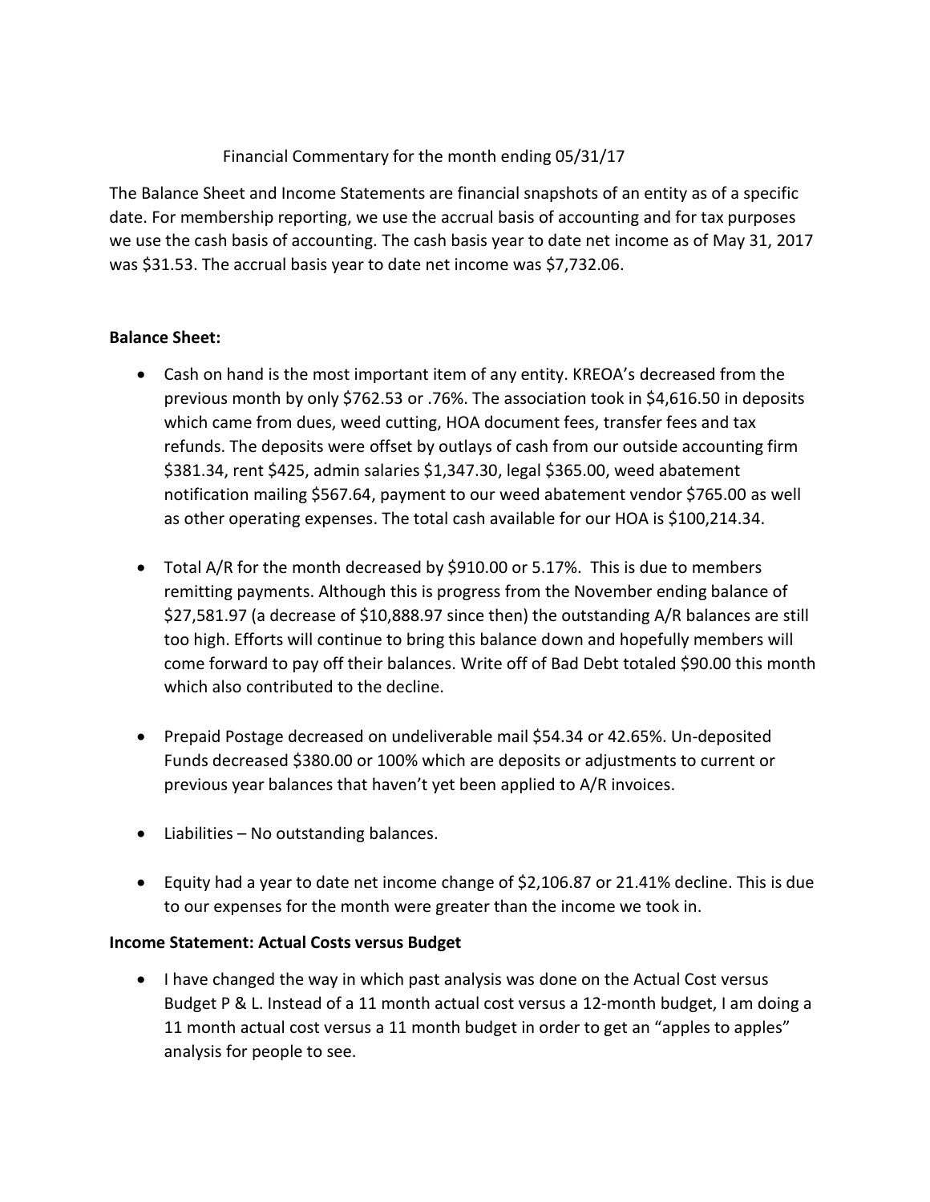# Financial Commentary for the month ending 05/31/17

The Balance Sheet and Income Statements are financial snapshots of an entity as of a specific date. For membership reporting, we use the accrual basis of accounting and for tax purposes we use the cash basis of accounting. The cash basis year to date net income as of May 31, 2017 was \$31.53. The accrual basis year to date net income was \$7,732.06.

## **Balance Sheet:**

- Cash on hand is the most important item of any entity. KREOA's decreased from the previous month by only \$762.53 or .76%. The association took in \$4,616.50 in deposits which came from dues, weed cutting, HOA document fees, transfer fees and tax refunds. The deposits were offset by outlays of cash from our outside accounting firm \$381.34, rent \$425, admin salaries \$1,347.30, legal \$365.00, weed abatement notification mailing \$567.64, payment to our weed abatement vendor \$765.00 as well as other operating expenses. The total cash available for our HOA is \$100,214.34.
- Total A/R for the month decreased by \$910.00 or 5.17%. This is due to members remitting payments. Although this is progress from the November ending balance of \$27,581.97 (a decrease of \$10,888.97 since then) the outstanding A/R balances are still too high. Efforts will continue to bring this balance down and hopefully members will come forward to pay off their balances. Write off of Bad Debt totaled \$90.00 this month which also contributed to the decline.
- Prepaid Postage decreased on undeliverable mail \$54.34 or 42.65%. Un-deposited Funds decreased \$380.00 or 100% which are deposits or adjustments to current or previous year balances that haven't yet been applied to A/R invoices.
- Liabilities No outstanding balances.
- Equity had a year to date net income change of \$2,106.87 or 21.41% decline. This is due to our expenses for the month were greater than the income we took in.

## **Income Statement: Actual Costs versus Budget**

• I have changed the way in which past analysis was done on the Actual Cost versus Budget P & L. Instead of a 11 month actual cost versus a 12-month budget, I am doing a 11 month actual cost versus a 11 month budget in order to get an "apples to apples" analysis for people to see.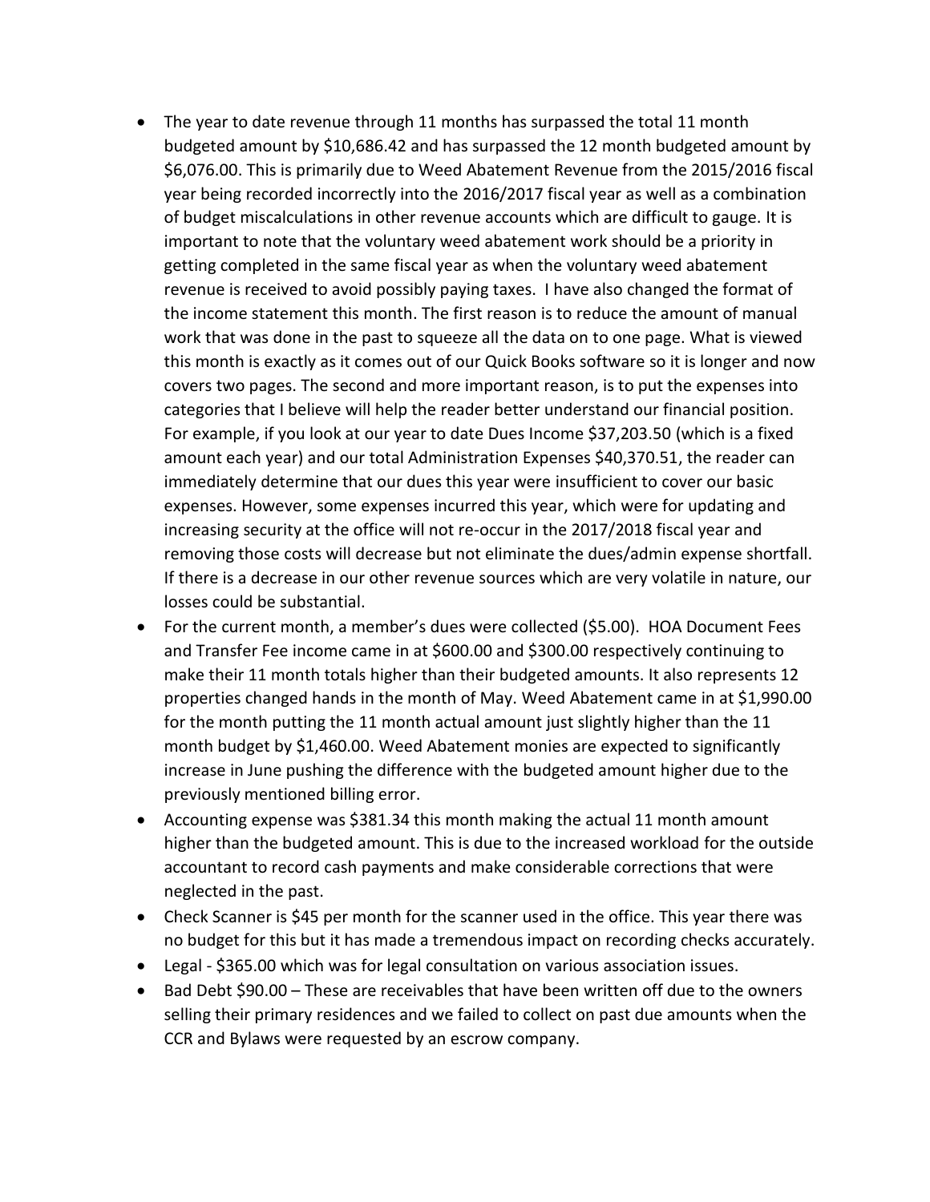- The year to date revenue through 11 months has surpassed the total 11 month budgeted amount by \$10,686.42 and has surpassed the 12 month budgeted amount by \$6,076.00. This is primarily due to Weed Abatement Revenue from the 2015/2016 fiscal year being recorded incorrectly into the 2016/2017 fiscal year as well as a combination of budget miscalculations in other revenue accounts which are difficult to gauge. It is important to note that the voluntary weed abatement work should be a priority in getting completed in the same fiscal year as when the voluntary weed abatement revenue is received to avoid possibly paying taxes. I have also changed the format of the income statement this month. The first reason is to reduce the amount of manual work that was done in the past to squeeze all the data on to one page. What is viewed this month is exactly as it comes out of our Quick Books software so it is longer and now covers two pages. The second and more important reason, is to put the expenses into categories that I believe will help the reader better understand our financial position. For example, if you look at our year to date Dues Income \$37,203.50 (which is a fixed amount each year) and our total Administration Expenses \$40,370.51, the reader can immediately determine that our dues this year were insufficient to cover our basic expenses. However, some expenses incurred this year, which were for updating and increasing security at the office will not re-occur in the 2017/2018 fiscal year and removing those costs will decrease but not eliminate the dues/admin expense shortfall. If there is a decrease in our other revenue sources which are very volatile in nature, our losses could be substantial.
- For the current month, a member's dues were collected (\$5.00). HOA Document Fees and Transfer Fee income came in at \$600.00 and \$300.00 respectively continuing to make their 11 month totals higher than their budgeted amounts. It also represents 12 properties changed hands in the month of May. Weed Abatement came in at \$1,990.00 for the month putting the 11 month actual amount just slightly higher than the 11 month budget by \$1,460.00. Weed Abatement monies are expected to significantly increase in June pushing the difference with the budgeted amount higher due to the previously mentioned billing error.
- Accounting expense was \$381.34 this month making the actual 11 month amount higher than the budgeted amount. This is due to the increased workload for the outside accountant to record cash payments and make considerable corrections that were neglected in the past.
- Check Scanner is \$45 per month for the scanner used in the office. This year there was no budget for this but it has made a tremendous impact on recording checks accurately.
- Legal \$365.00 which was for legal consultation on various association issues.
- Bad Debt \$90.00 These are receivables that have been written off due to the owners selling their primary residences and we failed to collect on past due amounts when the CCR and Bylaws were requested by an escrow company.